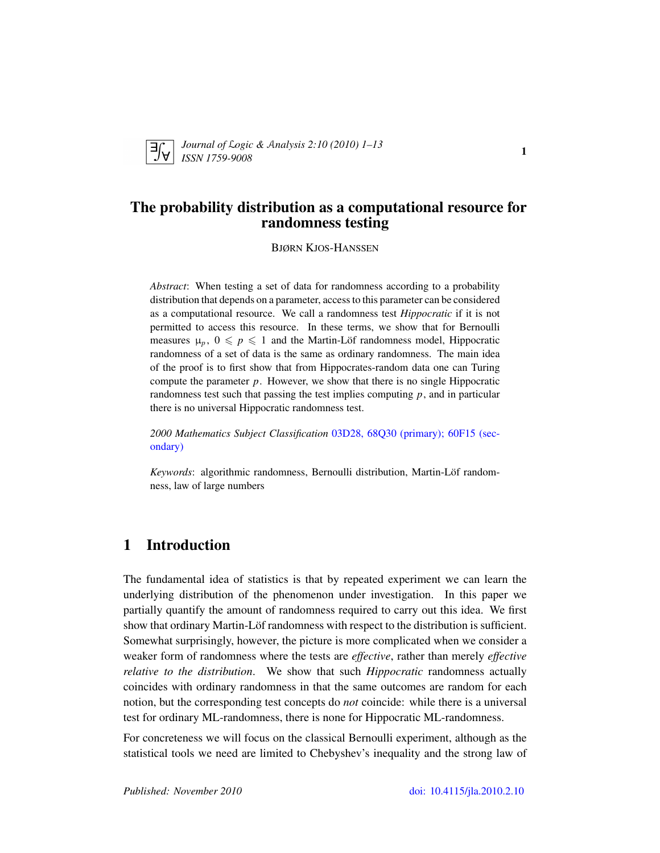

*Journal of* L*ogic &* A*nalysis 2:10 (2010) 1–13 ISSN 1759-9008* 1

# The probability distribution as a computational resource for randomness testing

BJØRN KJOS-HANSSEN

*Abstract*: When testing a set of data for randomness according to a probability distribution that depends on a parameter, access to this parameter can be considered as a computational resource. We call a randomness test *Hippocratic* if it is not permitted to access this resource. In these terms, we show that for Bernoulli measures  $\mu_p$ ,  $0 \leqslant p \leqslant 1$  and the Martin-Löf randomness model, Hippocratic randomness of a set of data is the same as ordinary randomness. The main idea of the proof is to first show that from Hippocrates-random data one can Turing compute the parameter  $p$ . However, we show that there is no single Hippocratic randomness test such that passing the test implies computing *p*, and in particular there is no universal Hippocratic randomness test.

*2000 Mathematics Subject Classification* [03D28, 68Q30 \(primary\); 60F15 \(sec](http://www.ams.org/mathscinet/search/mscdoc.html?code=03D28, 68Q30,(60F15))[ondary\)](http://www.ams.org/mathscinet/search/mscdoc.html?code=03D28, 68Q30,(60F15))

*Keywords*: algorithmic randomness, Bernoulli distribution, Martin-Löf randomness, law of large numbers

## 1 Introduction

The fundamental idea of statistics is that by repeated experiment we can learn the underlying distribution of the phenomenon under investigation. In this paper we partially quantify the amount of randomness required to carry out this idea. We first show that ordinary Martin-Löf randomness with respect to the distribution is sufficient. Somewhat surprisingly, however, the picture is more complicated when we consider a weaker form of randomness where the tests are *effective*, rather than merely *effective relative to the distribution*. We show that such *Hippocratic* randomness actually coincides with ordinary randomness in that the same outcomes are random for each notion, but the corresponding test concepts do *not* coincide: while there is a universal test for ordinary ML-randomness, there is none for Hippocratic ML-randomness.

For concreteness we will focus on the classical Bernoulli experiment, although as the statistical tools we need are limited to Chebyshev's inequality and the strong law of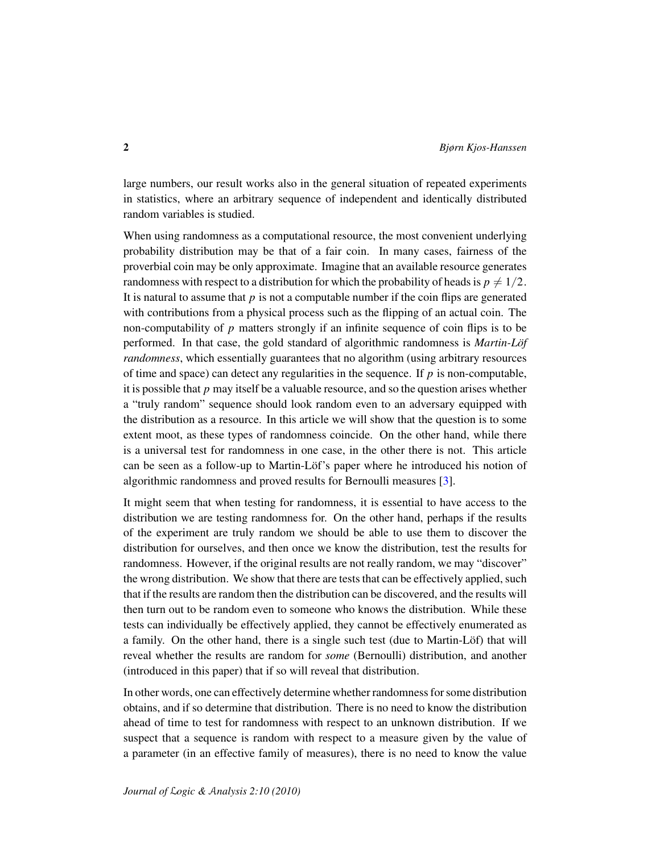large numbers, our result works also in the general situation of repeated experiments in statistics, where an arbitrary sequence of independent and identically distributed random variables is studied.

When using randomness as a computational resource, the most convenient underlying probability distribution may be that of a fair coin. In many cases, fairness of the proverbial coin may be only approximate. Imagine that an available resource generates randomness with respect to a distribution for which the probability of heads is  $p \neq 1/2$ . It is natural to assume that  $p$  is not a computable number if the coin flips are generated with contributions from a physical process such as the flipping of an actual coin. The non-computability of *p* matters strongly if an infinite sequence of coin flips is to be performed. In that case, the gold standard of algorithmic randomness is *Martin-Löf randomness*, which essentially guarantees that no algorithm (using arbitrary resources of time and space) can detect any regularities in the sequence. If  $p$  is non-computable, it is possible that *p* may itself be a valuable resource, and so the question arises whether a "truly random" sequence should look random even to an adversary equipped with the distribution as a resource. In this article we will show that the question is to some extent moot, as these types of randomness coincide. On the other hand, while there is a universal test for randomness in one case, in the other there is not. This article can be seen as a follow-up to Martin-Löf's paper where he introduced his notion of algorithmic randomness and proved results for Bernoulli measures [\[3\]](#page-12-0).

It might seem that when testing for randomness, it is essential to have access to the distribution we are testing randomness for. On the other hand, perhaps if the results of the experiment are truly random we should be able to use them to discover the distribution for ourselves, and then once we know the distribution, test the results for randomness. However, if the original results are not really random, we may "discover" the wrong distribution. We show that there are tests that can be effectively applied, such that if the results are random then the distribution can be discovered, and the results will then turn out to be random even to someone who knows the distribution. While these tests can individually be effectively applied, they cannot be effectively enumerated as a family. On the other hand, there is a single such test (due to Martin-Löf) that will reveal whether the results are random for *some* (Bernoulli) distribution, and another (introduced in this paper) that if so will reveal that distribution.

In other words, one can effectively determine whether randomness for some distribution obtains, and if so determine that distribution. There is no need to know the distribution ahead of time to test for randomness with respect to an unknown distribution. If we suspect that a sequence is random with respect to a measure given by the value of a parameter (in an effective family of measures), there is no need to know the value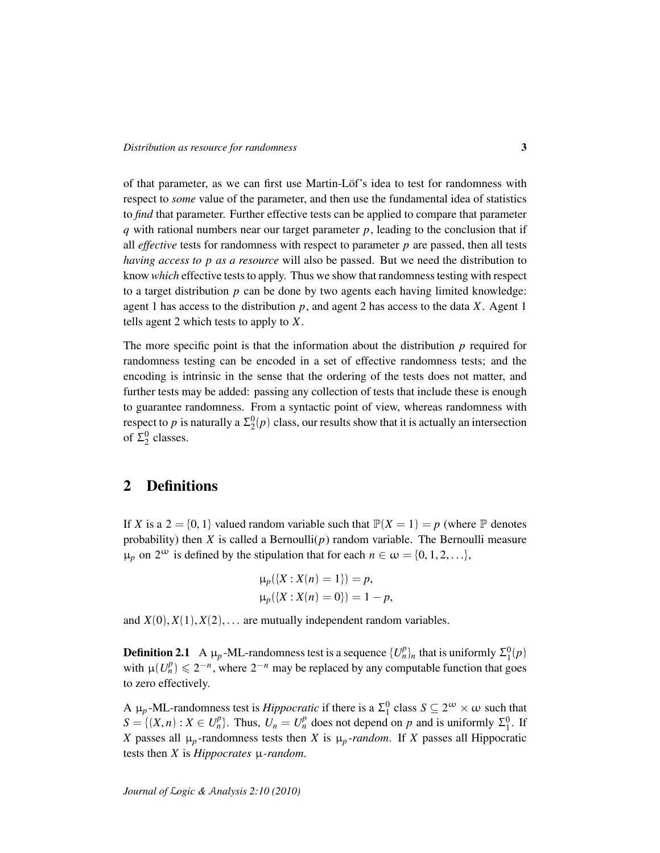of that parameter, as we can first use Martin-Löf's idea to test for randomness with respect to *some* value of the parameter, and then use the fundamental idea of statistics to *find* that parameter. Further effective tests can be applied to compare that parameter *q* with rational numbers near our target parameter *p*, leading to the conclusion that if all *effective* tests for randomness with respect to parameter *p* are passed, then all tests *having access to p as a resource* will also be passed. But we need the distribution to know *which* effective tests to apply. Thus we show that randomness testing with respect to a target distribution *p* can be done by two agents each having limited knowledge: agent 1 has access to the distribution  $p$ , and agent 2 has access to the data  $X$ . Agent 1 tells agent 2 which tests to apply to *X*.

The more specific point is that the information about the distribution *p* required for randomness testing can be encoded in a set of effective randomness tests; and the encoding is intrinsic in the sense that the ordering of the tests does not matter, and further tests may be added: passing any collection of tests that include these is enough to guarantee randomness. From a syntactic point of view, whereas randomness with respect to *p* is naturally a  $\Sigma^0_2(p)$  class, our results show that it is actually an intersection of  $\Sigma_2^0$  classes.

### 2 Definitions

If *X* is a  $2 = \{0, 1\}$  valued random variable such that  $\mathbb{P}(X = 1) = p$  (where  $\mathbb P$  denotes probability) then *X* is called a Bernoulli $(p)$  random variable. The Bernoulli measure  $\mu_p$  on 2<sup>ω</sup> is defined by the stipulation that for each  $n \in \omega = \{0, 1, 2, ...\}$ ,

$$
\mu_p({X : X(n) = 1}) = p,
$$
  
\n
$$
\mu_p({X : X(n) = 0}) = 1 - p,
$$

and  $X(0), X(1), X(2), \ldots$  are mutually independent random variables.

**Definition 2.1** A  $\mu_p$ -ML-randomness test is a sequence  $\{U_n^p\}_n$  that is uniformly  $\Sigma_1^0(p)$ with  $\mu(U_n^p) \leq 2^{-n}$ , where  $2^{-n}$  may be replaced by any computable function that goes to zero effectively.

A  $\mu_p$ -ML-randomness test is *Hippocratic* if there is a  $\Sigma_1^0$  class  $S \subseteq 2^{\omega} \times \omega$  such that  $S = \{(X, n) : X \in U_n^p\}$ . Thus,  $U_n = U_n^p$  does not depend on *p* and is uniformly  $\Sigma_1^0$ . If *X* passes all  $\mu_p$ -randomness tests then *X* is  $\mu_p$ -random. If *X* passes all Hippocratic tests then *X* is *Hippocrates* µ*-random*.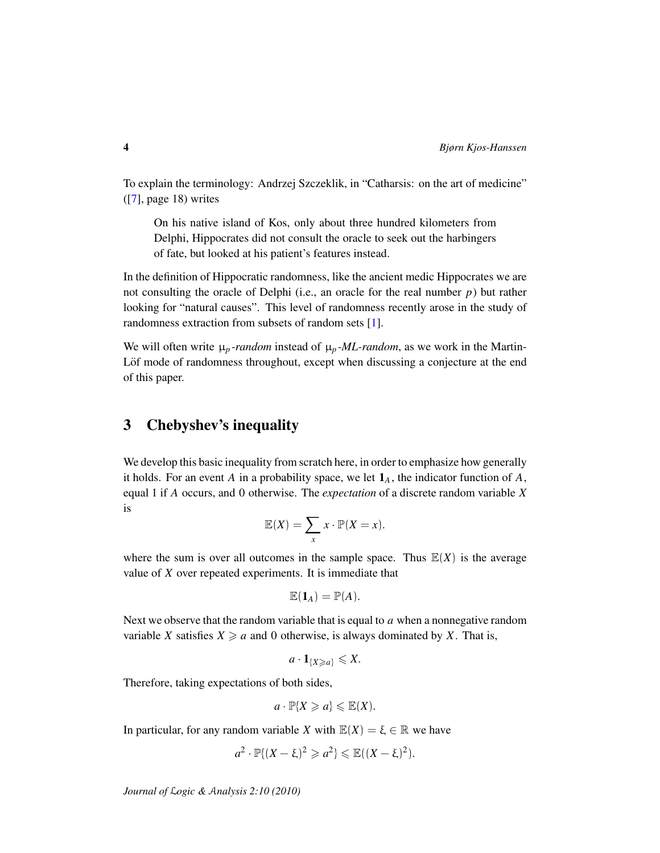To explain the terminology: Andrzej Szczeklik, in "Catharsis: on the art of medicine" ([\[7\]](#page-12-1), page 18) writes

On his native island of Kos, only about three hundred kilometers from Delphi, Hippocrates did not consult the oracle to seek out the harbingers of fate, but looked at his patient's features instead.

In the definition of Hippocratic randomness, like the ancient medic Hippocrates we are not consulting the oracle of Delphi (i.e., an oracle for the real number *p*) but rather looking for "natural causes". This level of randomness recently arose in the study of randomness extraction from subsets of random sets [\[1\]](#page-11-0).

We will often write  $\mu_p$  *-random* instead of  $\mu_p$  *-ML-random*, as we work in the Martin-Lof mode of randomness throughout, except when discussing a conjecture at the end of this paper.

# 3 Chebyshev's inequality

We develop this basic inequality from scratch here, in order to emphasize how generally it holds. For an event  $A$  in a probability space, we let  $\mathbf{1}_A$ , the indicator function of  $A$ , equal 1 if *A* occurs, and 0 otherwise. The *expectation* of a discrete random variable *X* is

$$
\mathbb{E}(X) = \sum_{x} x \cdot \mathbb{P}(X = x).
$$

where the sum is over all outcomes in the sample space. Thus  $\mathbb{E}(X)$  is the average value of *X* over repeated experiments. It is immediate that

$$
\mathbb{E}(\mathbf{1}_A)=\mathbb{P}(A).
$$

Next we observe that the random variable that is equal to *a* when a nonnegative random variable *X* satisfies  $X \ge a$  and 0 otherwise, is always dominated by *X*. That is,

$$
a \cdot \mathbf{1}_{\{X \ge a\}} \le X.
$$

Therefore, taking expectations of both sides,

$$
a\cdot \mathbb{P}\{X\geqslant a\}\leqslant \mathbb{E}(X).
$$

In particular, for any random variable *X* with  $\mathbb{E}(X) = \xi \in \mathbb{R}$  we have

$$
a^2 \cdot \mathbb{P}\{(X-\xi)^2 \geqslant a^2\} \leqslant \mathbb{E}((X-\xi)^2).
$$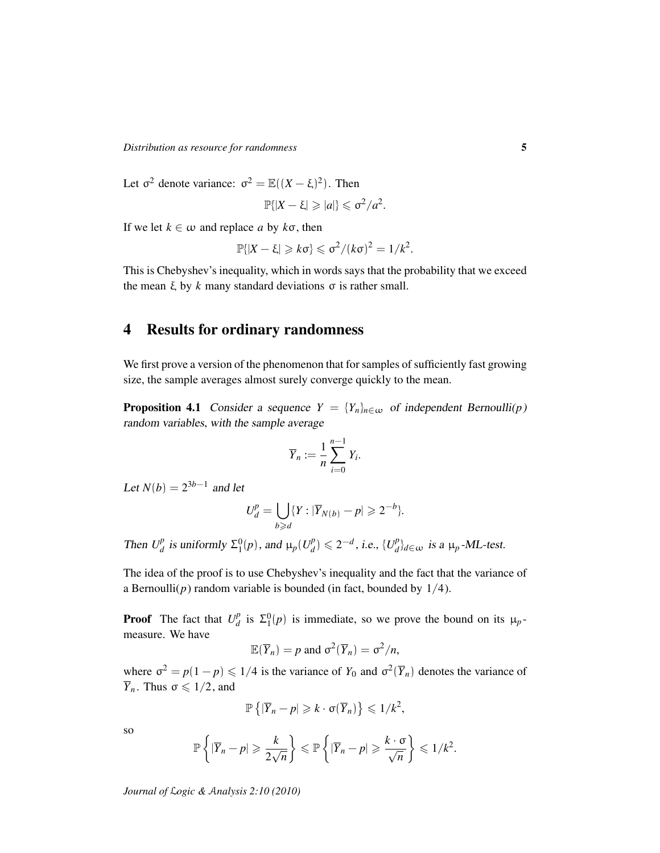*Distribution as resource for randomness* 5

Let  $\sigma^2$  denote variance:  $\sigma^2 = \mathbb{E}((X - \xi)^2)$ . Then

$$
\mathbb{P}\{|X-\xi|\geqslant|a|\}\leqslant\sigma^2/a^2.
$$

If we let  $k \in \omega$  and replace *a* by  $k\sigma$ , then

$$
\mathbb{P}\{|X-\xi|\geqslant k\sigma\}\leqslant \sigma^2/(k\sigma)^2=1/k^2.
$$

This is Chebyshev's inequality, which in words says that the probability that we exceed the mean  $\xi$  by  $k$  many standard deviations  $\sigma$  is rather small.

# 4 Results for ordinary randomness

We first prove a version of the phenomenon that for samples of sufficiently fast growing size, the sample averages almost surely converge quickly to the mean.

<span id="page-4-0"></span>**Proposition 4.1** Consider a sequence  $Y = \{Y_n\}_{n \in \omega}$  of independent Bernoulli(*p*) random variables, with the sample average

$$
\overline{Y}_n := \frac{1}{n} \sum_{i=0}^{n-1} Y_i.
$$

Let  $N(b) = 2^{3b-1}$  and let

$$
U_d^p = \bigcup_{b \geqslant d} \{ Y : |\overline{Y}_{N(b)} - p| \geqslant 2^{-b} \}.
$$

Then  $U_d^p$  $\sum_{d}^{p}$  is uniformly  $\Sigma_1^0(p)$ , and  $\mu_p(U_d^p)$  $\binom{p}{d}$  ≤ 2<sup>-*d*</sup>, *i.e.*, {*U*<sup>*p*</sup><sub>*d*</sub>  $\mu_d^p$ <sub>*d*</sub> $\in$ ω is a  $\mu_p$ -ML-test.

The idea of the proof is to use Chebyshev's inequality and the fact that the variance of a Bernoulli( $p$ ) random variable is bounded (in fact, bounded by  $1/4$ ).

**Proof** The fact that  $U_d^p$  $\sum_{d}^{p}$  is  $\Sigma_1^0(p)$  is immediate, so we prove the bound on its  $\mu_p$ measure. We have

$$
\mathbb{E}(\overline{Y}_n) = p \text{ and } \sigma^2(\overline{Y}_n) = \sigma^2/n,
$$

where  $\sigma^2 = p(1-p) \leq 1/4$  is the variance of  $Y_0$  and  $\sigma^2(\overline{Y}_n)$  denotes the variance of  $\overline{Y}_n$ . Thus  $\sigma \leq 1/2$ , and

$$
\mathbb{P}\left\{|\overline{Y}_n-p|\geqslant k\cdot \sigma(\overline{Y}_n)\right\}\leqslant 1/k^2,
$$

so

$$
\mathbb{P}\left\{|\overline{Y}_n-p|\geqslant \frac{k}{2\sqrt{n}}\right\}\leqslant \mathbb{P}\left\{|\overline{Y}_n-p|\geqslant \frac{k\cdot\sigma}{\sqrt{n}}\right\}\leqslant 1/k^2.
$$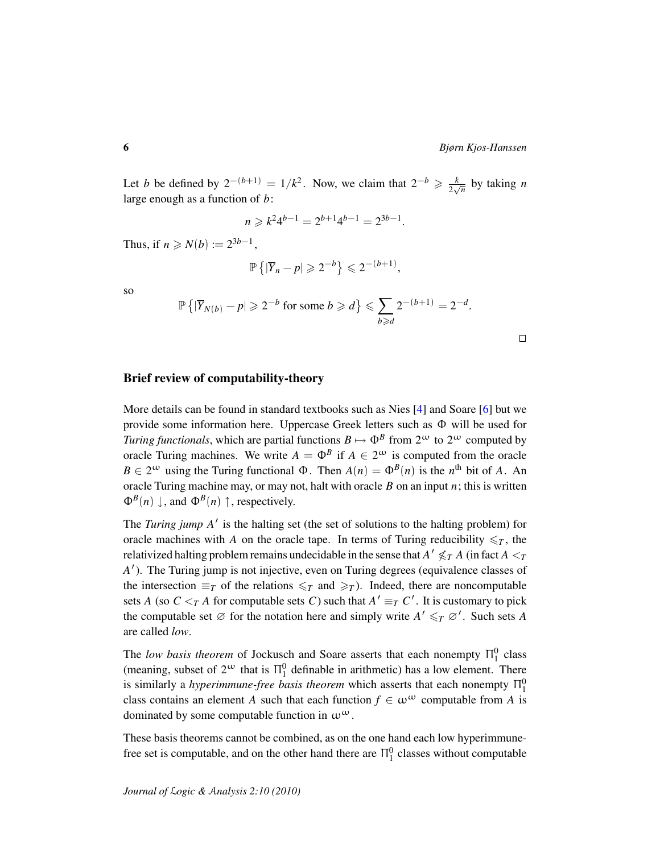Let *b* be defined by  $2^{-(b+1)} = 1/k^2$ . Now, we claim that  $2^{-b} \ge \frac{k}{2k}$  $rac{k}{2\sqrt{n}}$  by taking *n* large enough as a function of *b*:

$$
n \ge k^2 4^{b-1} = 2^{b+1} 4^{b-1} = 2^{3b-1}.
$$

Thus, if  $n \ge N(b) := 2^{3b-1}$ ,

$$
\mathbb{P}\left\{|\overline{Y}_n-p|\geqslant 2^{-b}\right\}\leqslant 2^{-(b+1)},
$$

so

$$
\mathbb{P}\left\{|\overline{Y}_{N(b)}-p|\geqslant 2^{-b}\text{ for some }b\geqslant d\right\}\leqslant \sum_{b\geqslant d}2^{-(b+1)}=2^{-d}.
$$

 $\Box$ 

#### Brief review of computability-theory

More details can be found in standard textbooks such as Nies [\[4\]](#page-12-2) and Soare [\[6\]](#page-12-3) but we provide some information here. Uppercase Greek letters such as Φ will be used for *Turing functionals*, which are partial functions  $B \mapsto \Phi^B$  from  $2^{\omega}$  to  $2^{\omega}$  computed by oracle Turing machines. We write  $A = \Phi^B$  if  $A \in 2^{\omega}$  is computed from the oracle  $B \in 2^{\omega}$  using the Turing functional  $\Phi$ . Then  $A(n) = \Phi^{B}(n)$  is the *n*<sup>th</sup> bit of *A*. An oracle Turing machine may, or may not, halt with oracle *B* on an input *n*; this is written  $\Phi^B(n) \downarrow$ , and  $\Phi^B(n) \uparrow$ , respectively.

The *Turing jump A'* is the halting set (the set of solutions to the halting problem) for oracle machines with *A* on the oracle tape. In terms of Turing reducibility  $\leq_T$ , the relativized halting problem remains undecidable in the sense that  $A'\not\leqslant_T A$  (in fact  $A<_{T}$ A<sup>'</sup>). The Turing jump is not injective, even on Turing degrees (equivalence classes of the intersection  $\equiv_T$  of the relations  $\leq_T$  and  $\geq_T$ ). Indeed, there are noncomputable sets *A* (so  $C \leq T A$  for computable sets *C*) such that  $A' \equiv T C'$ . It is customary to pick the computable set  $\emptyset$  for the notation here and simply write  $A' \leq T \emptyset'$ . Such sets *A* are called *low*.

The *low basis theorem* of Jockusch and Soare asserts that each nonempty  $\Pi_1^0$  class (meaning, subset of  $2^{\omega}$  that is  $\Pi_1^0$  definable in arithmetic) has a low element. There is similarly a *hyperimmune-free basis theorem* which asserts that each nonempty  $\Pi_1^0$ class contains an element *A* such that each function  $f \in \omega^{\omega}$  computable from *A* is dominated by some computable function in  $\omega^{\omega}$ .

These basis theorems cannot be combined, as on the one hand each low hyperimmunefree set is computable, and on the other hand there are  $\Pi_1^0$  classes without computable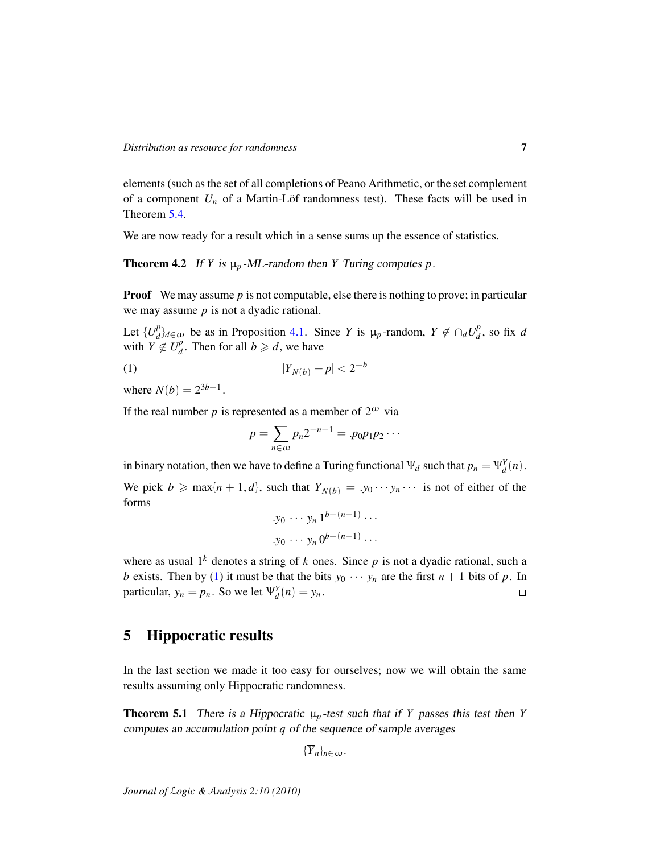elements (such as the set of all completions of Peano Arithmetic, or the set complement of a component  $U_n$  of a Martin-Löf randomness test). These facts will be used in Theorem [5.4.](#page-9-0)

We are now ready for a result which in a sense sums up the essence of statistics.

<span id="page-6-1"></span>**Theorem 4.2** If *Y* is  $\mu_p$ -ML-random then *Y* Turing computes *p*.

**Proof** We may assume *p* is not computable, else there is nothing to prove; in particular we may assume *p* is not a dyadic rational.

Let  $\{U_d^p\}$ *p*<sup>*p*</sup></sup> $d$ *d*∈ω be as in Proposition [4.1.](#page-4-0) Since *Y* is  $\mu_p$ -random,  $Y \notin \bigcap_d U_d^p$  $\frac{p}{d}$ , so fix *d* with  $Y \notin U_d^p$  $_{d}^{p}$ . Then for all  $b \geq d$ , we have

$$
\overline{Y}_{N(b)} - p < 2^{-b}
$$

where  $N(b) = 2^{3b-1}$ .

If the real number *p* is represented as a member of  $2^{\omega}$  via

<span id="page-6-0"></span>
$$
p=\sum_{n\in\omega}p_n2^{-n-1}=p_0p_1p_2\cdots
$$

in binary notation, then we have to define a Turing functional  $\Psi_d$  such that  $p_n = \Psi_d^Y(n)$ . We pick  $b \ge \max\{n+1, d\}$ , such that  $\overline{Y}_{N(b)} = y_0 \cdots y_n \cdots$  is not of either of the forms

$$
\begin{aligned}\n y_0 \cdots y_n \, 1^{b-(n+1)} \cdots \\
y_0 \cdots y_n \, 0^{b-(n+1)} \cdots\n \end{aligned}
$$

where as usual  $1^k$  denotes a string of  $k$  ones. Since  $p$  is not a dyadic rational, such a *b* exists. Then by [\(1\)](#page-6-0) it must be that the bits  $y_0 \cdots y_n$  are the first  $n + 1$  bits of p. In particular,  $y_n = p_n$ . So we let  $\Psi_d^Y(n) = y_n$ .  $\Box$ 

# 5 Hippocratic results

In the last section we made it too easy for ourselves; now we will obtain the same results assuming only Hippocratic randomness.

<span id="page-6-2"></span>**Theorem 5.1** There is a Hippocratic  $\mu_p$ -test such that if *Y* passes this test then *Y* computes an accumulation point *q* of the sequence of sample averages

```
{\overline{Y}}_n<sub>n</sub>∈ω.
```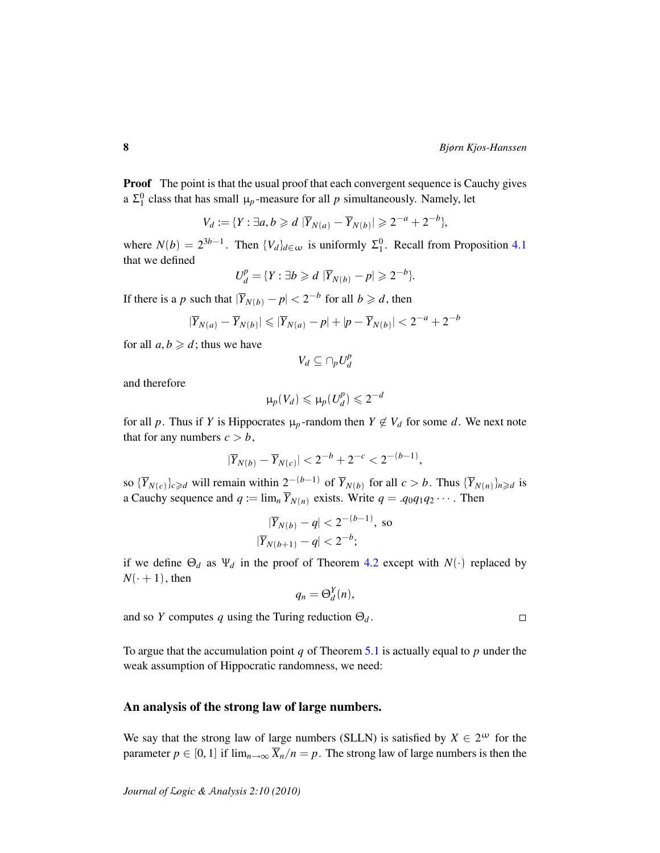**Proof** The point is that the usual proof that each convergent sequence is Cauchy gives a  $\Sigma_1^0$  class that has small  $\mu_p$ -measure for all *p* simultaneously. Namely, let

$$
V_d := \{ Y : \exists a, b \geq d \; |\overline{Y}_{N(a)} - \overline{Y}_{N(b)}| \geq 2^{-a} + 2^{-b} \},
$$

where  $N(b) = 2^{3b-1}$ . Then  $\{V_d\}_{d \in \omega}$  is uniformly  $\Sigma_1^0$ . Recall from Proposition [4.1](#page-4-0) that we defined

$$
U_d^p = \{ Y : \exists b \geq d \mid \overline{Y}_{N(b)} - p \mid \geq 2^{-b} \}.
$$

If there is a *p* such that  $|\overline{Y}_{N(b)} - p| < 2^{-b}$  for all  $b \geq d$ , then

$$
|\overline{Y}_{N(a)}-\overline{Y}_{N(b)}|\leqslant|\overline{Y}_{N(a)}-p|+|p-\overline{Y}_{N(b)}|<2^{-a}+2^{-b}
$$

for all  $a, b \geq d$ ; thus we have

$$
V_d \subseteq \cap_p U_d^p
$$

and therefore

$$
\mu_p(V_d) \leq \mu_p(U_d^p) \leq 2^{-d}
$$

for all p. Thus if Y is Hippocrates  $\mu_p$ -random then  $Y \notin V_d$  for some d. We next note that for any numbers  $c > b$ ,

$$
|\overline{Y}_{N(b)} - \overline{Y}_{N(c)}| < 2^{-b} + 2^{-c} < 2^{-(b-1)},
$$

so  ${\{\overline{Y}_{N(c)}\}_{c \ge d}$  will remain within  $2^{-(b-1)}$  of  ${\overline{Y}_{N(b)}}$  for all  $c > b$ . Thus  ${\{\overline{Y}_{N(n)}\}_{n \ge d}}$  is a Cauchy sequence and  $q := \lim_{n} \overline{Y}_{N(n)}$  exists. Write  $q = .q_0q_1q_2 \cdots$ . Then

$$
|\overline{Y}_{N(b)} - q| < 2^{-(b-1)}, \text{ so}
$$
\n
$$
|\overline{Y}_{N(b+1)} - q| < 2^{-b};
$$

if we define  $\Theta_d$  as  $\Psi_d$  in the proof of Theorem [4.2](#page-6-1) except with  $N(\cdot)$  replaced by  $N(+1)$ , then

$$
q_n = \Theta_d^Y(n),
$$

and so *Y* computes *q* using the Turing reduction  $\Theta_d$ .

To argue that the accumulation point *q* of Theorem [5.1](#page-6-2) is actually equal to *p* under the weak assumption of Hippocratic randomness, we need:

#### An analysis of the strong law of large numbers.

We say that the strong law of large numbers (SLLN) is satisfied by  $X \in 2^{\omega}$  for the parameter  $p \in [0, 1]$  if  $\lim_{n \to \infty} \overline{X}_n/n = p$ . The strong law of large numbers is then the

 $\Box$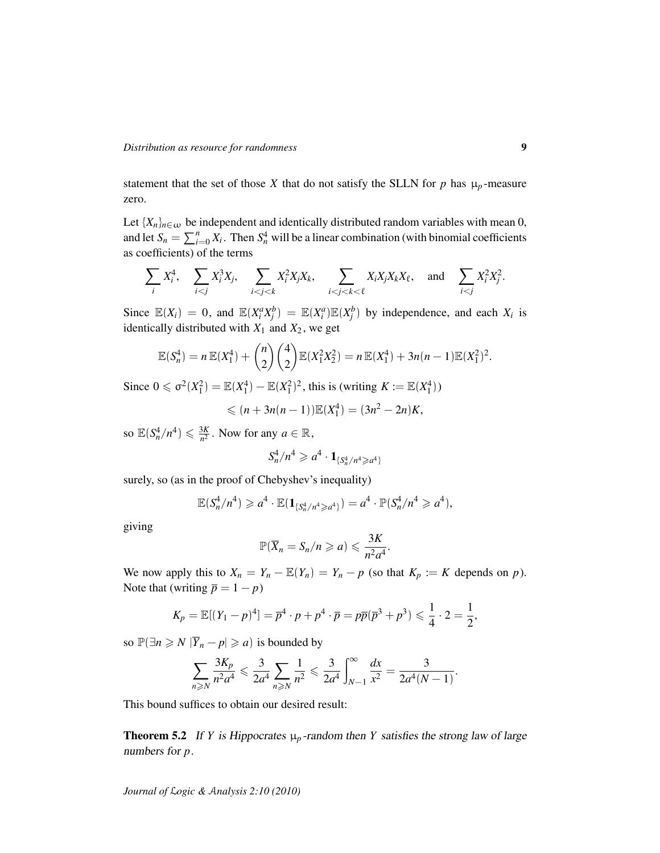statement that the set of those *X* that do not satisfy the SLLN for *p* has  $\mu_p$ -measure zero.

Let  ${X_n}_{n \in \omega}$  be independent and identically distributed random variables with mean 0, and let  $S_n = \sum_{i=0}^n X_i$ . Then  $S_n^4$  will be a linear combination (with binomial coefficients as coefficients) of the terms

$$
\sum_i X_i^4, \quad \sum_{i < j} X_i^3 X_j, \quad \sum_{i < j < k} X_i^2 X_j X_k, \quad \sum_{i < j < k < \ell} X_i X_j X_k X_\ell, \quad \text{and} \quad \sum_{i < j} X_i^2 X_j^2.
$$

Since  $\mathbb{E}(X_i) = 0$ , and  $\mathbb{E}(X_i^a X_j^b) = \mathbb{E}(X_i^a)\mathbb{E}(X_j^b)$  by independence, and each  $X_i$  is identically distributed with  $X_1$  and  $X_2$ , we get

$$
\mathbb{E}(S_n^4) = n \mathbb{E}(X_1^4) + {n \choose 2} {4 \choose 2} \mathbb{E}(X_1^2 X_2^2) = n \mathbb{E}(X_1^4) + 3n(n-1) \mathbb{E}(X_1^2)^2.
$$

Since  $0 \le \sigma^2(X_1^2) = \mathbb{E}(X_1^4) - \mathbb{E}(X_1^2)^2$ , this is (writing  $K := \mathbb{E}(X_1^4)$ )

$$
\leqslant (n+3n(n-1))\mathbb{E}(X_1^4)=(3n^2-2n)K,
$$

so  $\mathbb{E}(S_n^4/n^4) \leq \frac{3K}{n^2}$  $\frac{3K}{n^2}$ . Now for any  $a \in \mathbb{R}$ ,

$$
S_n^4/n^4 \geqslant a^4 \cdot \mathbf{1}_{\{S_n^4/n^4 \geqslant a^4\}}
$$

surely, so (as in the proof of Chebyshev's inequality)

$$
\mathbb{E}(S_n^4/n^4) \geqslant a^4 \cdot \mathbb{E}(\mathbf{1}_{\{S_n^4/n^4\geqslant a^4\}}) = a^4 \cdot \mathbb{P}(S_n^4/n^4 \geqslant a^4),
$$

giving

$$
\mathbb{P}(\overline{X}_n=S_n/n\geqslant a)\leqslant \frac{3K}{n^2a^4}.
$$

We now apply this to  $X_n = Y_n - \mathbb{E}(Y_n) = Y_n - p$  (so that  $K_p := K$  depends on *p*). Note that (writing  $\bar{p} = 1 - p$ )

$$
K_p = \mathbb{E}[(Y_1 - p)^4] = \overline{p}^4 \cdot p + p^4 \cdot \overline{p} = p\overline{p}(\overline{p}^3 + p^3) \leq \frac{1}{4} \cdot 2 = \frac{1}{2},
$$

so  $\mathbb{P}(\exists n \geq N \, |\overline{Y}_n - p| \geq a)$  is bounded by

$$
\sum_{n\geqslant N}\frac{3K_p}{n^2a^4}\leqslant \frac{3}{2a^4}\sum_{n\geqslant N}\frac{1}{n^2}\leqslant \frac{3}{2a^4}\int_{N-1}^{\infty}\frac{dx}{x^2}=\frac{3}{2a^4(N-1)}.
$$

This bound suffices to obtain our desired result:

<span id="page-8-0"></span>**Theorem 5.2** If *Y* is Hippocrates  $\mu_p$ -random then *Y* satisfies the strong law of large numbers for *p*.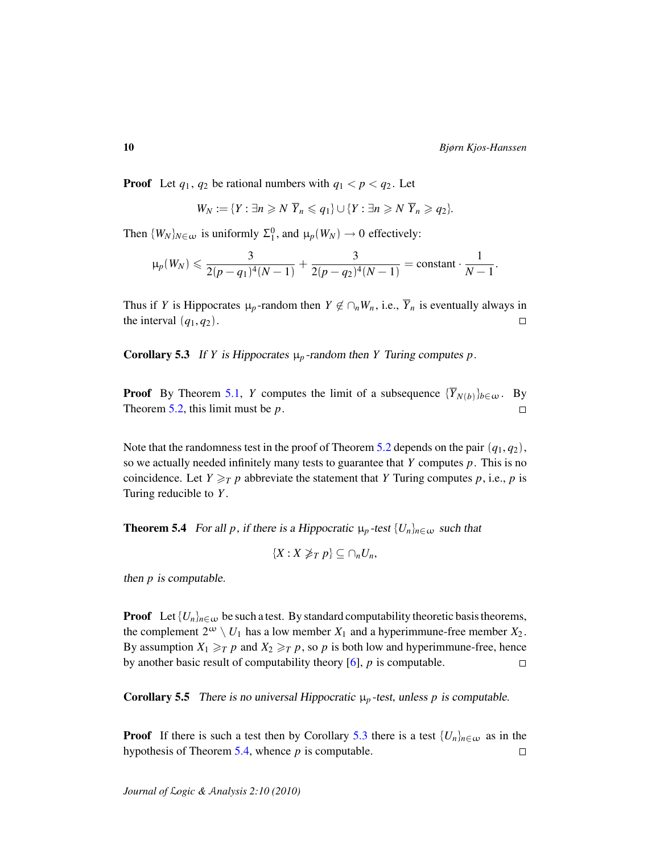**Proof** Let  $q_1, q_2$  be rational numbers with  $q_1 < p < q_2$ . Let

$$
W_N := \{ Y : \exists n \geqslant N \ \overline{Y}_n \leqslant q_1 \} \cup \{ Y : \exists n \geqslant N \ \overline{Y}_n \geqslant q_2 \}.
$$

Then  $\{W_N\}_{N \in \omega}$  is uniformly  $\Sigma_1^0$ , and  $\mu_p(W_N) \to 0$  effectively:

$$
\mu_p(W_N) \leqslant \frac{3}{2(p-q_1)^4(N-1)} + \frac{3}{2(p-q_2)^4(N-1)} = \text{constant} \cdot \frac{1}{N-1}.
$$

Thus if *Y* is Hippocrates  $\mu_p$ -random then  $Y \notin \bigcap_n W_n$ , i.e.,  $\overline{Y}_n$  is eventually always in the interval  $(q_1, q_2)$ .  $\Box$ 

<span id="page-9-1"></span>**Corollary 5.3** If *Y* is Hippocrates  $\mu_p$ -random then *Y* Turing computes *p*.

**Proof** By Theorem [5.1,](#page-6-2) *Y* computes the limit of a subsequence  ${\{\overline{Y}_{N(b)}\}_{b \in \omega}}$ . By Theorem [5.2,](#page-8-0) this limit must be *p*.  $\Box$ 

Note that the randomness test in the proof of Theorem [5.2](#page-8-0) depends on the pair  $(q_1, q_2)$ , so we actually needed infinitely many tests to guarantee that *Y* computes *p*. This is no coincidence. Let  $Y \geq_T p$  abbreviate the statement that *Y* Turing computes *p*, i.e., *p* is Turing reducible to *Y* .

<span id="page-9-0"></span>**Theorem 5.4** For all *p*, if there is a Hippocratic  $\mu_p$ -test  $\{U_n\}_{n \in \omega}$  such that

$$
\{X:X\ngeq_T p\}\subseteq \cap_n U_n,
$$

then *p* is computable.

**Proof** Let  $\{U_n\}_{n\in\omega}$  be such a test. By standard computability theoretic basis theorems, the complement  $2^{\omega} \setminus U_1$  has a low member  $X_1$  and a hyperimmune-free member  $X_2$ . By assumption  $X_1 \geq_T p$  and  $X_2 \geq_T p$ , so p is both low and hyperimmune-free, hence by another basic result of computability theory [\[6\]](#page-12-3), *p* is computable.  $\Box$ 

**Corollary 5.5** There is no universal Hippocratic  $\mu_p$ -test, unless p is computable.

**Proof** If there is such a test then by Corollary [5.3](#page-9-1) there is a test  $\{U_n\}_{n\in\omega}$  as in the hypothesis of Theorem [5.4,](#page-9-0) whence *p* is computable.  $\Box$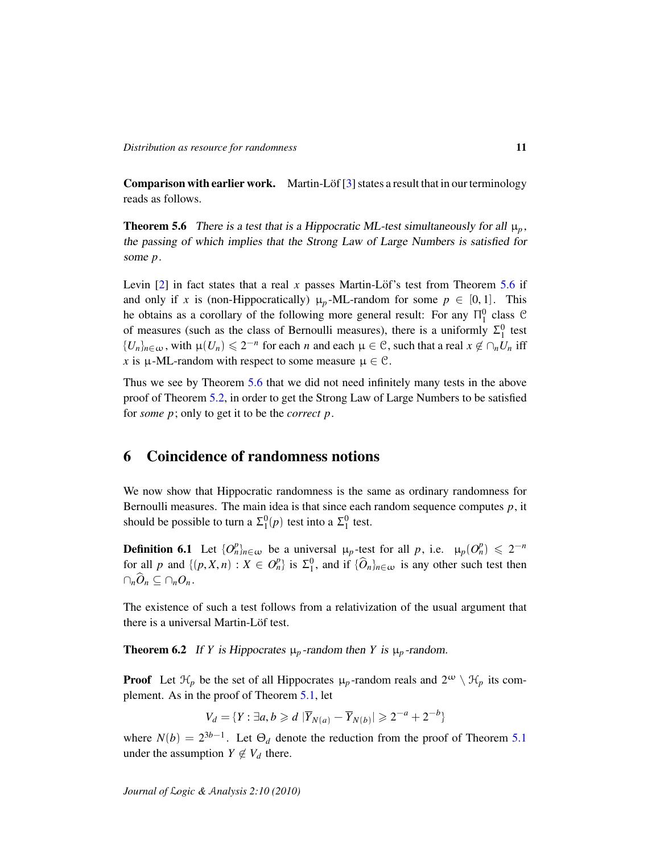**Comparison with earlier work.** Martin-Löf  $[3]$  $[3]$  states a result that in our terminology reads as follows.

<span id="page-10-0"></span>**Theorem 5.6** There is a test that is a Hippocratic ML-test simultaneously for all  $\mu_p$ , the passing of which implies that the Strong Law of Large Numbers is satisfied for some *p*.

Levin  $[2]$  in fact states that a real *x* passes Martin-Löf's test from Theorem [5.6](#page-10-0) if and only if *x* is (non-Hippocratically)  $\mu_p$ -ML-random for some  $p \in [0, 1]$ . This he obtains as a corollary of the following more general result: For any  $\Pi_1^0$  class C of measures (such as the class of Bernoulli measures), there is a uniformly  $\Sigma_1^0$  test  ${U_n}_{n \in \omega}$ , with  $\mu(U_n) \leq 2^{-n}$  for each *n* and each  $\mu \in \mathcal{C}$ , such that a real  $x \notin \cap_n U_n$  iff *x* is  $\mu$ -ML-random with respect to some measure  $\mu \in \mathcal{C}$ .

Thus we see by Theorem [5.6](#page-10-0) that we did not need infinitely many tests in the above proof of Theorem [5.2,](#page-8-0) in order to get the Strong Law of Large Numbers to be satisfied for *some p*; only to get it to be the *correct p*.

## 6 Coincidence of randomness notions

We now show that Hippocratic randomness is the same as ordinary randomness for Bernoulli measures. The main idea is that since each random sequence computes *p*, it should be possible to turn a  $\Sigma_1^0(p)$  test into a  $\Sigma_1^0$  test.

**Definition 6.1** Let  $\{O_n^p\}_{n \in \omega}$  be a universal  $\mu_p$ -test for all *p*, i.e.  $\mu_p(O_n^p) \leq 2^{-n}$ for all *p* and  $\{(p, X, n) : X \in O_n^p\}$  is  $\Sigma_1^0$ , and if  $\{\widehat{O}_n\}_{n \in \omega}$  is any other such test then  $\cap_n \widehat{O}_n \subseteq \cap_n O_n$ .

The existence of such a test follows from a relativization of the usual argument that there is a universal Martin-Löf test.

**Theorem 6.2** If *Y* is Hippocrates  $\mu_p$ -random then *Y* is  $\mu_p$ -random.

**Proof** Let  $\mathcal{H}_p$  be the set of all Hippocrates  $\mu_p$ -random reals and  $2^{\omega} \setminus \mathcal{H}_p$  its complement. As in the proof of Theorem [5.1,](#page-6-2) let

$$
V_d = \{ Y : \exists a, b \geq d \mid \overline{Y}_{N(a)} - \overline{Y}_{N(b)} \mid \geq 2^{-a} + 2^{-b} \}
$$

where  $N(b) = 2^{3b-1}$ . Let  $\Theta_d$  denote the reduction from the proof of Theorem [5.1](#page-6-2) under the assumption  $Y \notin V_d$  there.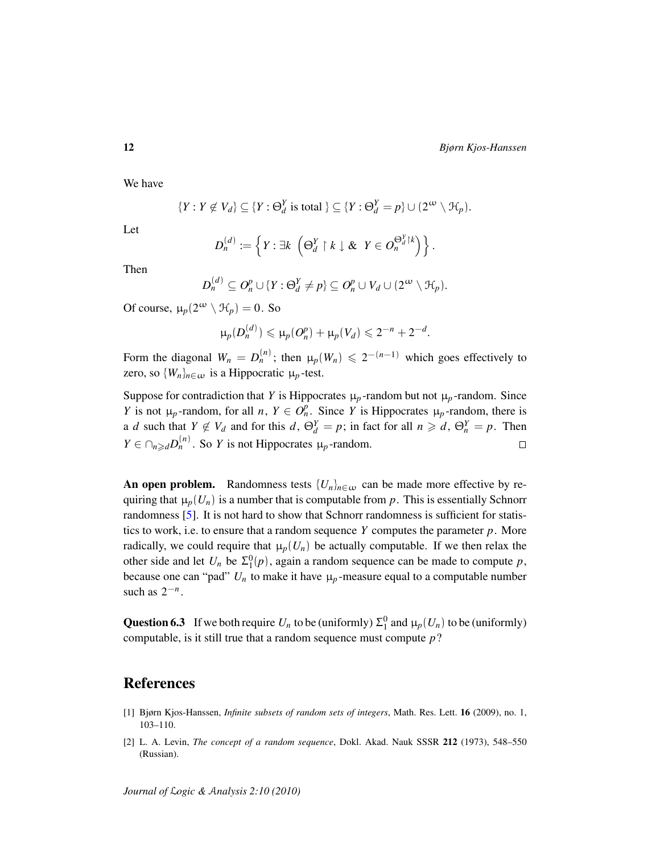We have

$$
\{Y: Y \not\in V_d\} \subseteq \{Y: \Theta_d^Y \text{ is total }\} \subseteq \{Y: \Theta_d^Y = p\} \cup (2^{\omega} \setminus \mathcal{H}_p).
$$

Let

$$
D_n^{(d)} := \left\{ Y : \exists k \ \left( \Theta_d^Y \upharpoonright k \downarrow \& \ Y \in O_n^{\Theta_d^Y \upharpoonright k} \right) \right\}.
$$

Then

$$
D_n^{(d)} \subseteq O_n^p \cup \{Y : \Theta_d^Y \neq p\} \subseteq O_n^p \cup V_d \cup (2^{\omega} \setminus \mathcal{H}_p).
$$

Of course,  $\mu_p(2^{\omega} \setminus \mathcal{H}_p) = 0$ . So

$$
\mu_p(D_n^{(d)}) \leqslant \mu_p(O_n^p) + \mu_p(V_d) \leqslant 2^{-n} + 2^{-d}.
$$

Form the diagonal  $W_n = D_n^{(n)}$ ; then  $\mu_p(W_n) \leq 2^{-(n-1)}$  which goes effectively to zero, so  $\{W_n\}_{n \in \omega}$  is a Hippocratic  $\mu_p$ -test.

Suppose for contradiction that *Y* is Hippocrates  $\mu_p$ -random but not  $\mu_p$ -random. Since *Y* is not  $\mu_p$ -random, for all *n*,  $Y \in O_n^p$ . Since *Y* is Hippocrates  $\mu_p$ -random, there is a *d* such that  $Y \notin V_d$  and for this  $d$ ,  $\Theta_d^Y = p$ ; in fact for all  $n \geq d$ ,  $\Theta_n^Y = p$ . Then  $Y \in \bigcap_{n \geq d} D_n^{(n)}$ . So *Y* is not Hippocrates  $\mu_p$ -random.  $\Box$ 

An open problem. Randomness tests  $\{U_n\}_{n\in\omega}$  can be made more effective by requiring that  $\mu_p(U_n)$  is a number that is computable from p. This is essentially Schnorr randomness [\[5\]](#page-12-4). It is not hard to show that Schnorr randomness is sufficient for statistics to work, i.e. to ensure that a random sequence  $Y$  computes the parameter  $p$ . More radically, we could require that  $\mu_p(U_n)$  be actually computable. If we then relax the other side and let  $U_n$  be  $\Sigma_1^0(p)$ , again a random sequence can be made to compute p, because one can "pad"  $U_n$  to make it have  $\mu_p$ -measure equal to a computable number such as  $2^{-n}$ .

**Question 6.3** If we both require  $U_n$  to be (uniformly)  $\Sigma_1^0$  and  $\mu_p(U_n)$  to be (uniformly) computable, is it still true that a random sequence must compute *p*?

### References

- <span id="page-11-0"></span>[1] Bjørn Kjos-Hanssen, *Infinite subsets of random sets of integers*, Math. Res. Lett. 16 (2009), no. 1, 103–110.
- <span id="page-11-1"></span>[2] L. A. Levin, *The concept of a random sequence*, Dokl. Akad. Nauk SSSR 212 (1973), 548–550 (Russian).